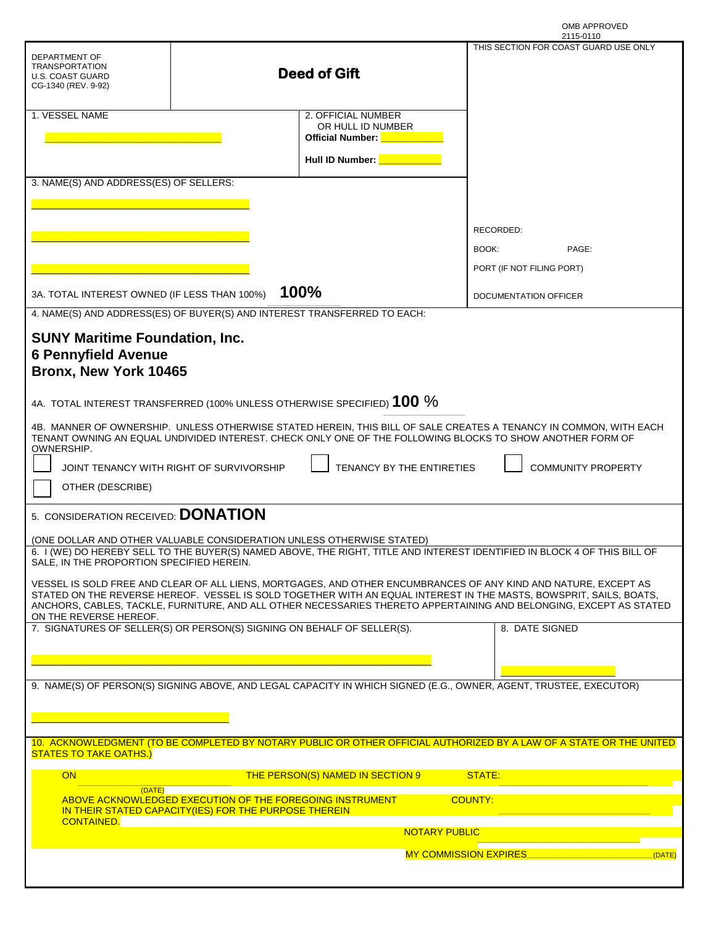|           | OMB APPROVED |
|-----------|--------------|
| 2115-0110 |              |

|                                                                                                                                                                                                                                       |                                               | 2115-0110                             |  |
|---------------------------------------------------------------------------------------------------------------------------------------------------------------------------------------------------------------------------------------|-----------------------------------------------|---------------------------------------|--|
| DEPARTMENT OF                                                                                                                                                                                                                         |                                               | THIS SECTION FOR COAST GUARD USE ONLY |  |
| <b>TRANSPORTATION</b>                                                                                                                                                                                                                 |                                               |                                       |  |
| U.S. COAST GUARD                                                                                                                                                                                                                      | <b>Deed of Gift</b>                           |                                       |  |
| CG-1340 (REV. 9-92)                                                                                                                                                                                                                   |                                               |                                       |  |
|                                                                                                                                                                                                                                       |                                               |                                       |  |
| 1. VESSEL NAME                                                                                                                                                                                                                        | 2. OFFICIAL NUMBER<br>OR HULL ID NUMBER       |                                       |  |
|                                                                                                                                                                                                                                       | <b>Official Number:</b><br><u>e de la pro</u> |                                       |  |
|                                                                                                                                                                                                                                       |                                               |                                       |  |
|                                                                                                                                                                                                                                       | Hull ID Number:                               |                                       |  |
| 3. NAME(S) AND ADDRESS(ES) OF SELLERS:                                                                                                                                                                                                |                                               |                                       |  |
|                                                                                                                                                                                                                                       |                                               |                                       |  |
|                                                                                                                                                                                                                                       |                                               |                                       |  |
|                                                                                                                                                                                                                                       |                                               |                                       |  |
|                                                                                                                                                                                                                                       |                                               | RECORDED:                             |  |
|                                                                                                                                                                                                                                       |                                               | BOOK:<br>PAGE:                        |  |
|                                                                                                                                                                                                                                       |                                               | PORT (IF NOT FILING PORT)             |  |
|                                                                                                                                                                                                                                       |                                               |                                       |  |
| 3A. TOTAL INTEREST OWNED (IF LESS THAN 100%)                                                                                                                                                                                          | 100%                                          | DOCUMENTATION OFFICER                 |  |
|                                                                                                                                                                                                                                       |                                               |                                       |  |
| 4. NAME(S) AND ADDRESS(ES) OF BUYER(S) AND INTEREST TRANSFERRED TO EACH:                                                                                                                                                              |                                               |                                       |  |
|                                                                                                                                                                                                                                       |                                               |                                       |  |
| <b>SUNY Maritime Foundation, Inc.</b>                                                                                                                                                                                                 |                                               |                                       |  |
| <b>6 Pennyfield Avenue</b>                                                                                                                                                                                                            |                                               |                                       |  |
| Bronx, New York 10465                                                                                                                                                                                                                 |                                               |                                       |  |
|                                                                                                                                                                                                                                       |                                               |                                       |  |
| 4A. TOTAL INTEREST TRANSFERRED (100% UNLESS OTHERWISE SPECIFIED) 100 %                                                                                                                                                                |                                               |                                       |  |
|                                                                                                                                                                                                                                       |                                               |                                       |  |
| 4B. MANNER OF OWNERSHIP. UNLESS OTHERWISE STATED HEREIN, THIS BILL OF SALE CREATES A TENANCY IN COMMON, WITH EACH<br>TENANT OWNING AN EQUAL UNDIVIDED INTEREST. CHECK ONLY ONE OF THE FOLLOWING BLOCKS TO SHOW ANOTHER FORM OF        |                                               |                                       |  |
| OWNERSHIP.                                                                                                                                                                                                                            |                                               |                                       |  |
|                                                                                                                                                                                                                                       |                                               |                                       |  |
| JOINT TENANCY WITH RIGHT OF SURVIVORSHIP                                                                                                                                                                                              | TENANCY BY THE ENTIRETIES                     | <b>COMMUNITY PROPERTY</b>             |  |
| OTHER (DESCRIBE)                                                                                                                                                                                                                      |                                               |                                       |  |
|                                                                                                                                                                                                                                       |                                               |                                       |  |
| 5. CONSIDERATION RECEIVED: DONATION                                                                                                                                                                                                   |                                               |                                       |  |
|                                                                                                                                                                                                                                       |                                               |                                       |  |
| (ONE DOLLAR AND OTHER VALUABLE CONSIDERATION UNLESS OTHERWISE STATED)<br>6. I (WE) DO HEREBY SELL TO THE BUYER(S) NAMED ABOVE, THE RIGHT, TITLE AND INTEREST IDENTIFIED IN BLOCK 4 OF THIS BILL OF                                    |                                               |                                       |  |
| SALE, IN THE PROPORTION SPECIFIED HEREIN.                                                                                                                                                                                             |                                               |                                       |  |
|                                                                                                                                                                                                                                       |                                               |                                       |  |
| VESSEL IS SOLD FREE AND CLEAR OF ALL LIENS, MORTGAGES, AND OTHER ENCUMBRANCES OF ANY KIND AND NATURE, EXCEPT AS<br>STATED ON THE REVERSE HEREOF. VESSEL IS SOLD TOGETHER WITH AN EQUAL INTEREST IN THE MASTS, BOWSPRIT, SAILS, BOATS, |                                               |                                       |  |
| ANCHORS, CABLES, TACKLE, FURNITURE, AND ALL OTHER NECESSARIES THERETO APPERTAINING AND BELONGING, EXCEPT AS STATED                                                                                                                    |                                               |                                       |  |
| ON THE REVERSE HEREOF.                                                                                                                                                                                                                |                                               |                                       |  |
| 7. SIGNATURES OF SELLER(S) OR PERSON(S) SIGNING ON BEHALF OF SELLER(S).                                                                                                                                                               |                                               | 8. DATE SIGNED                        |  |
|                                                                                                                                                                                                                                       |                                               |                                       |  |
|                                                                                                                                                                                                                                       |                                               |                                       |  |
|                                                                                                                                                                                                                                       |                                               |                                       |  |
| 9. NAME(S) OF PERSON(S) SIGNING ABOVE, AND LEGAL CAPACITY IN WHICH SIGNED (E.G., OWNER, AGENT, TRUSTEE, EXECUTOR)                                                                                                                     |                                               |                                       |  |
|                                                                                                                                                                                                                                       |                                               |                                       |  |
|                                                                                                                                                                                                                                       |                                               |                                       |  |
|                                                                                                                                                                                                                                       |                                               |                                       |  |
| 10. ACKNOWLEDGMENT (TO BE COMPLETED BY NOTARY PUBLIC OR OTHER OFFICIAL AUTHORIZED BY A LAW OF A STATE OR THE UNITED<br><b>STATES TO TAKE OATHS.)</b>                                                                                  |                                               |                                       |  |
|                                                                                                                                                                                                                                       |                                               |                                       |  |
| <b>ON</b>                                                                                                                                                                                                                             | THE PERSON(S) NAMED IN SECTION 9              | STATE:                                |  |
| (DATE)                                                                                                                                                                                                                                |                                               |                                       |  |
| ABOVE ACKNOWLEDGED EXECUTION OF THE FOREGOING INSTRUMENT<br>IN THEIR STATED CAPACITY(IES) FOR THE PURPOSE THEREIN                                                                                                                     |                                               | <b>COUNTY:</b>                        |  |
| <b>CONTAINED.</b>                                                                                                                                                                                                                     |                                               |                                       |  |
| <b>NOTARY PUBLIC</b>                                                                                                                                                                                                                  |                                               |                                       |  |
|                                                                                                                                                                                                                                       |                                               | <b>MY COMMISSION EXPIRES</b><br>DATE) |  |
|                                                                                                                                                                                                                                       |                                               |                                       |  |
|                                                                                                                                                                                                                                       |                                               |                                       |  |